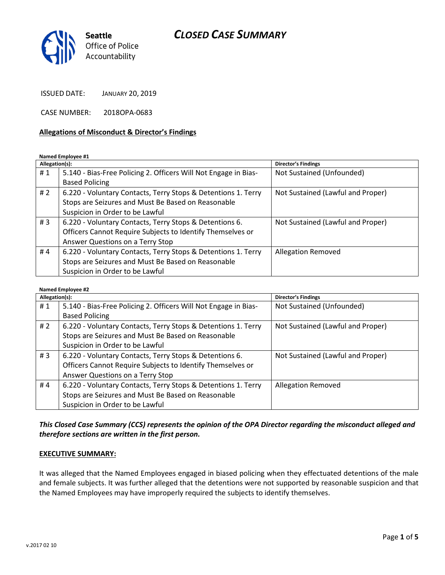# CLOSED CASE SUMMARY



ISSUED DATE: JANUARY 20, 2019

CASE NUMBER: 2018OPA-0683

### Allegations of Misconduct & Director's Findings

### Named Employee #1

| Allegation(s): |                                                                 | <b>Director's Findings</b>        |
|----------------|-----------------------------------------------------------------|-----------------------------------|
| #1             | 5.140 - Bias-Free Policing 2. Officers Will Not Engage in Bias- | Not Sustained (Unfounded)         |
|                | <b>Based Policing</b>                                           |                                   |
| #2             | 6.220 - Voluntary Contacts, Terry Stops & Detentions 1. Terry   | Not Sustained (Lawful and Proper) |
|                | Stops are Seizures and Must Be Based on Reasonable              |                                   |
|                | Suspicion in Order to be Lawful                                 |                                   |
| #3             | 6.220 - Voluntary Contacts, Terry Stops & Detentions 6.         | Not Sustained (Lawful and Proper) |
|                | Officers Cannot Require Subjects to Identify Themselves or      |                                   |
|                | Answer Questions on a Terry Stop                                |                                   |
| #4             | 6.220 - Voluntary Contacts, Terry Stops & Detentions 1. Terry   | <b>Allegation Removed</b>         |
|                | Stops are Seizures and Must Be Based on Reasonable              |                                   |
|                | Suspicion in Order to be Lawful                                 |                                   |

### Named Employee #2

| Allegation(s): |                                                                 | <b>Director's Findings</b>        |
|----------------|-----------------------------------------------------------------|-----------------------------------|
| #1             | 5.140 - Bias-Free Policing 2. Officers Will Not Engage in Bias- | Not Sustained (Unfounded)         |
|                | <b>Based Policing</b>                                           |                                   |
| # $2$          | 6.220 - Voluntary Contacts, Terry Stops & Detentions 1. Terry   | Not Sustained (Lawful and Proper) |
|                | Stops are Seizures and Must Be Based on Reasonable              |                                   |
|                | Suspicion in Order to be Lawful                                 |                                   |
| #3             | 6.220 - Voluntary Contacts, Terry Stops & Detentions 6.         | Not Sustained (Lawful and Proper) |
|                | Officers Cannot Require Subjects to Identify Themselves or      |                                   |
|                | Answer Questions on a Terry Stop                                |                                   |
| #4             | 6.220 - Voluntary Contacts, Terry Stops & Detentions 1. Terry   | <b>Allegation Removed</b>         |
|                | Stops are Seizures and Must Be Based on Reasonable              |                                   |
|                | Suspicion in Order to be Lawful                                 |                                   |

## This Closed Case Summary (CCS) represents the opinion of the OPA Director regarding the misconduct alleged and therefore sections are written in the first person.

#### EXECUTIVE SUMMARY:

It was alleged that the Named Employees engaged in biased policing when they effectuated detentions of the male and female subjects. It was further alleged that the detentions were not supported by reasonable suspicion and that the Named Employees may have improperly required the subjects to identify themselves.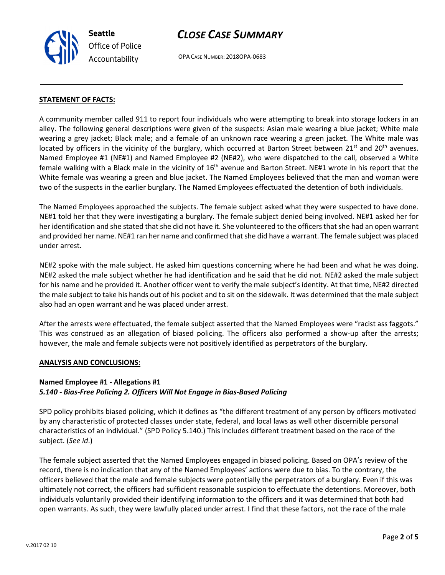

# CLOSE CASE SUMMARY

OPA CASE NUMBER: 2018OPA-0683

### STATEMENT OF FACTS:

A community member called 911 to report four individuals who were attempting to break into storage lockers in an alley. The following general descriptions were given of the suspects: Asian male wearing a blue jacket; White male wearing a grey jacket; Black male; and a female of an unknown race wearing a green jacket. The White male was located by officers in the vicinity of the burglary, which occurred at Barton Street between  $21^{st}$  and  $20^{th}$  avenues. Named Employee #1 (NE#1) and Named Employee #2 (NE#2), who were dispatched to the call, observed a White female walking with a Black male in the vicinity of 16<sup>th</sup> avenue and Barton Street. NE#1 wrote in his report that the White female was wearing a green and blue jacket. The Named Employees believed that the man and woman were two of the suspects in the earlier burglary. The Named Employees effectuated the detention of both individuals.

The Named Employees approached the subjects. The female subject asked what they were suspected to have done. NE#1 told her that they were investigating a burglary. The female subject denied being involved. NE#1 asked her for her identification and she stated that she did not have it. She volunteered to the officers that she had an open warrant and provided her name. NE#1 ran her name and confirmed that she did have a warrant. The female subject was placed under arrest.

NE#2 spoke with the male subject. He asked him questions concerning where he had been and what he was doing. NE#2 asked the male subject whether he had identification and he said that he did not. NE#2 asked the male subject for his name and he provided it. Another officer went to verify the male subject's identity. At that time, NE#2 directed the male subject to take his hands out of his pocket and to sit on the sidewalk. It was determined that the male subject also had an open warrant and he was placed under arrest.

After the arrests were effectuated, the female subject asserted that the Named Employees were "racist ass faggots." This was construed as an allegation of biased policing. The officers also performed a show-up after the arrests; however, the male and female subjects were not positively identified as perpetrators of the burglary.

#### ANALYSIS AND CONCLUSIONS:

## Named Employee #1 - Allegations #1 5.140 - Bias-Free Policing 2. Officers Will Not Engage in Bias-Based Policing

SPD policy prohibits biased policing, which it defines as "the different treatment of any person by officers motivated by any characteristic of protected classes under state, federal, and local laws as well other discernible personal characteristics of an individual." (SPD Policy 5.140.) This includes different treatment based on the race of the subject. (See id.)

The female subject asserted that the Named Employees engaged in biased policing. Based on OPA's review of the record, there is no indication that any of the Named Employees' actions were due to bias. To the contrary, the officers believed that the male and female subjects were potentially the perpetrators of a burglary. Even if this was ultimately not correct, the officers had sufficient reasonable suspicion to effectuate the detentions. Moreover, both individuals voluntarily provided their identifying information to the officers and it was determined that both had open warrants. As such, they were lawfully placed under arrest. I find that these factors, not the race of the male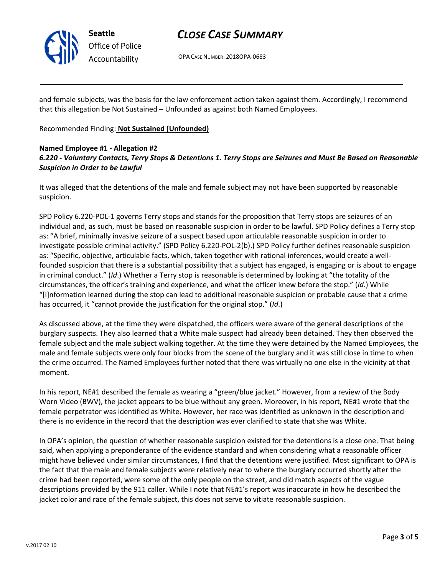

Office of Police Accountability

# CLOSE CASE SUMMARY

OPA CASE NUMBER: 2018OPA-0683

and female subjects, was the basis for the law enforcement action taken against them. Accordingly, I recommend that this allegation be Not Sustained – Unfounded as against both Named Employees.

Recommended Finding: Not Sustained (Unfounded)

## Named Employee #1 - Allegation #2 6.220 - Voluntary Contacts, Terry Stops & Detentions 1. Terry Stops are Seizures and Must Be Based on Reasonable Suspicion in Order to be Lawful

It was alleged that the detentions of the male and female subject may not have been supported by reasonable suspicion.

SPD Policy 6.220-POL-1 governs Terry stops and stands for the proposition that Terry stops are seizures of an individual and, as such, must be based on reasonable suspicion in order to be lawful. SPD Policy defines a Terry stop as: "A brief, minimally invasive seizure of a suspect based upon articulable reasonable suspicion in order to investigate possible criminal activity." (SPD Policy 6.220-POL-2(b).) SPD Policy further defines reasonable suspicion as: "Specific, objective, articulable facts, which, taken together with rational inferences, would create a wellfounded suspicion that there is a substantial possibility that a subject has engaged, is engaging or is about to engage in criminal conduct." (Id.) Whether a Terry stop is reasonable is determined by looking at "the totality of the circumstances, the officer's training and experience, and what the officer knew before the stop." (Id.) While "[i]nformation learned during the stop can lead to additional reasonable suspicion or probable cause that a crime has occurred, it "cannot provide the justification for the original stop." (Id.)

As discussed above, at the time they were dispatched, the officers were aware of the general descriptions of the burglary suspects. They also learned that a White male suspect had already been detained. They then observed the female subject and the male subject walking together. At the time they were detained by the Named Employees, the male and female subjects were only four blocks from the scene of the burglary and it was still close in time to when the crime occurred. The Named Employees further noted that there was virtually no one else in the vicinity at that moment.

In his report, NE#1 described the female as wearing a "green/blue jacket." However, from a review of the Body Worn Video (BWV), the jacket appears to be blue without any green. Moreover, in his report, NE#1 wrote that the female perpetrator was identified as White. However, her race was identified as unknown in the description and there is no evidence in the record that the description was ever clarified to state that she was White.

In OPA's opinion, the question of whether reasonable suspicion existed for the detentions is a close one. That being said, when applying a preponderance of the evidence standard and when considering what a reasonable officer might have believed under similar circumstances, I find that the detentions were justified. Most significant to OPA is the fact that the male and female subjects were relatively near to where the burglary occurred shortly after the crime had been reported, were some of the only people on the street, and did match aspects of the vague descriptions provided by the 911 caller. While I note that NE#1's report was inaccurate in how he described the jacket color and race of the female subject, this does not serve to vitiate reasonable suspicion.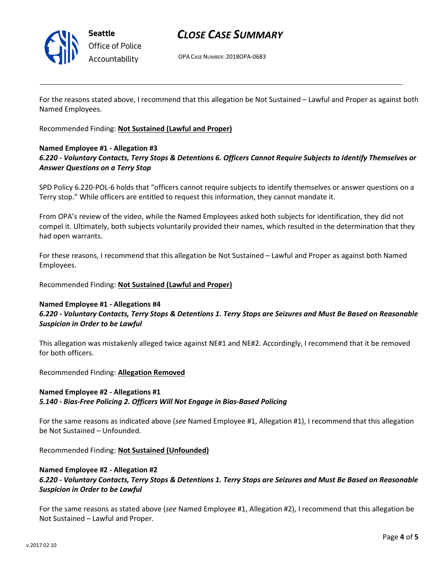

Seattle Office of Police Accountability

# CLOSE CASE SUMMARY

OPA CASE NUMBER: 2018OPA-0683

For the reasons stated above, I recommend that this allegation be Not Sustained – Lawful and Proper as against both Named Employees.

Recommended Finding: Not Sustained (Lawful and Proper)

## Named Employee #1 - Allegation #3 6.220 - Voluntary Contacts, Terry Stops & Detentions 6. Officers Cannot Require Subjects to Identify Themselves or Answer Questions on a Terry Stop

SPD Policy 6.220-POL-6 holds that "officers cannot require subjects to identify themselves or answer questions on a Terry stop." While officers are entitled to request this information, they cannot mandate it.

From OPA's review of the video, while the Named Employees asked both subjects for identification, they did not compel it. Ultimately, both subjects voluntarily provided their names, which resulted in the determination that they had open warrants.

For these reasons, I recommend that this allegation be Not Sustained – Lawful and Proper as against both Named Employees.

Recommended Finding: Not Sustained (Lawful and Proper)

## Named Employee #1 - Allegations #4 6.220 - Voluntary Contacts, Terry Stops & Detentions 1. Terry Stops are Seizures and Must Be Based on Reasonable Suspicion in Order to be Lawful

This allegation was mistakenly alleged twice against NE#1 and NE#2. Accordingly, I recommend that it be removed for both officers.

Recommended Finding: Allegation Removed

# Named Employee #2 - Allegations #1

## 5.140 - Bias-Free Policing 2. Officers Will Not Engage in Bias-Based Policing

For the same reasons as indicated above (see Named Employee #1, Allegation #1), I recommend that this allegation be Not Sustained – Unfounded.

Recommended Finding: Not Sustained (Unfounded)

## Named Employee #2 - Allegation #2

6.220 - Voluntary Contacts, Terry Stops & Detentions 1. Terry Stops are Seizures and Must Be Based on Reasonable Suspicion in Order to be Lawful

For the same reasons as stated above (see Named Employee #1, Allegation #2), I recommend that this allegation be Not Sustained – Lawful and Proper.